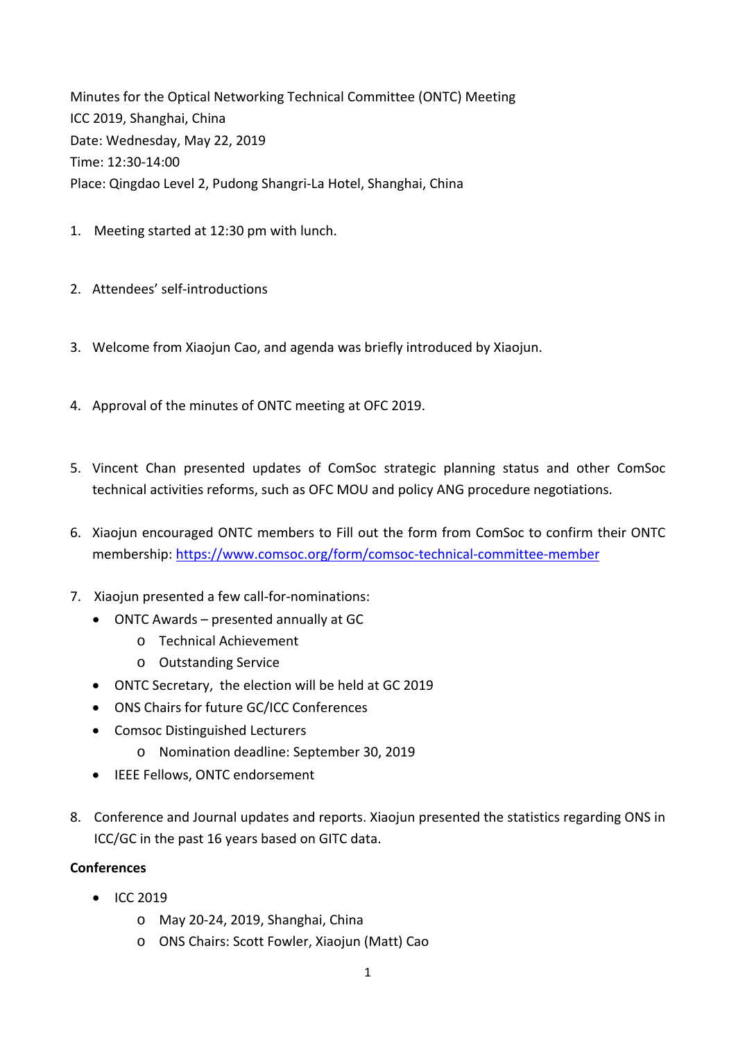Minutes for the Optical Networking Technical Committee (ONTC) Meeting ICC 2019, Shanghai, China Date: Wednesday, May 22, 2019 Time: 12:30‐14:00 Place: Qingdao Level 2, Pudong Shangri‐La Hotel, Shanghai, China

- 1. Meeting started at 12:30 pm with lunch.
- 2. Attendees' self-introductions
- 3. Welcome from Xiaojun Cao, and agenda was briefly introduced by Xiaojun.
- 4. Approval of the minutes of ONTC meeting at OFC 2019.
- 5. Vincent Chan presented updates of ComSoc strategic planning status and other ComSoc technical activities reforms, such as OFC MOU and policy ANG procedure negotiations.
- 6. Xiaojun encouraged ONTC members to Fill out the form from ComSoc to confirm their ONTC membership: https://www.comsoc.org/form/comsoc‐technical‐committee‐member
- 7. Xiaojun presented a few call-for-nominations:
	- ONTC Awards presented annually at GC
		- o Technical Achievement
		- o Outstanding Service
	- ONTC Secretary, the election will be held at GC 2019
	- ONS Chairs for future GC/ICC Conferences
	- Comsoc Distinguished Lecturers
		- o Nomination deadline: September 30, 2019
	- IEEE Fellows, ONTC endorsement
- 8. Conference and Journal updates and reports. Xiaojun presented the statistics regarding ONS in ICC/GC in the past 16 years based on GITC data.

## **Conferences**

- $\bullet$  ICC 2019
	- o May 20‐24, 2019, Shanghai, China
	- o ONS Chairs: Scott Fowler, Xiaojun (Matt) Cao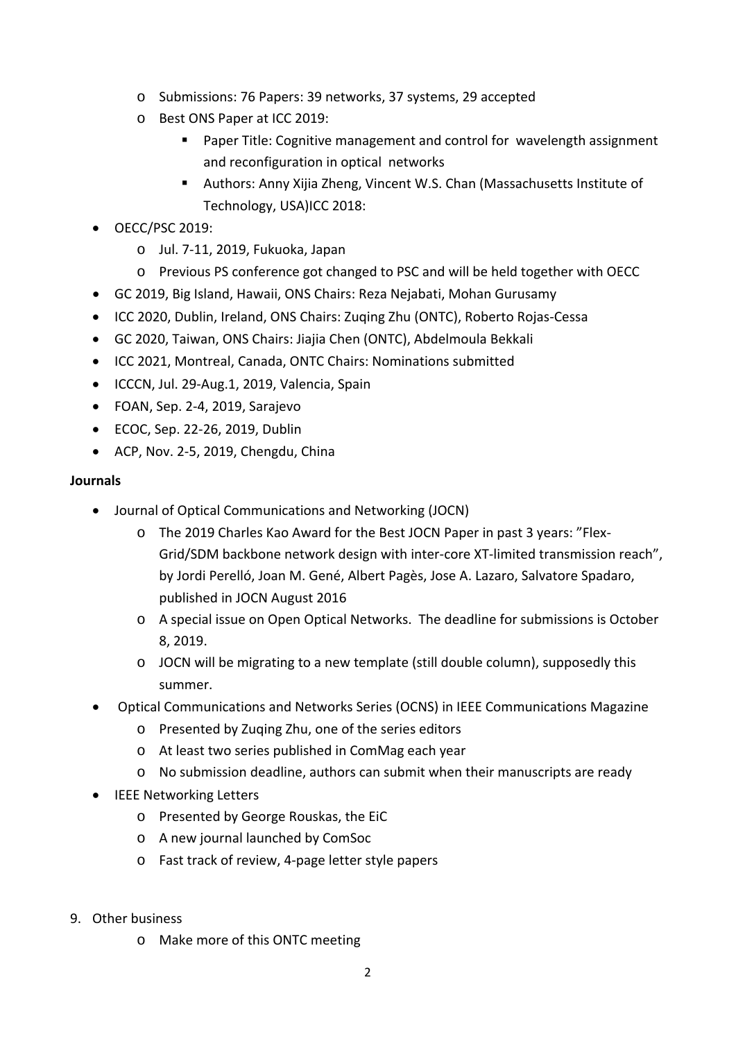- o Submissions: 76 Papers: 39 networks, 37 systems, 29 accepted
- o Best ONS Paper at ICC 2019:
	- Paper Title: Cognitive management and control for wavelength assignment and reconfiguration in optical networks
	- Authors: Anny Xijia Zheng, Vincent W.S. Chan (Massachusetts Institute of Technology, USA)ICC 2018:
- OECC/PSC 2019:
	- o Jul. 7‐11, 2019, Fukuoka, Japan
	- o Previous PS conference got changed to PSC and will be held together with OECC
- GC 2019, Big Island, Hawaii, ONS Chairs: Reza Nejabati, Mohan Gurusamy
- ICC 2020, Dublin, Ireland, ONS Chairs: Zuqing Zhu (ONTC), Roberto Rojas-Cessa
- GC 2020, Taiwan, ONS Chairs: Jiajia Chen (ONTC), Abdelmoula Bekkali
- ICC 2021, Montreal, Canada, ONTC Chairs: Nominations submitted
- ICCCN, Jul. 29-Aug.1, 2019, Valencia, Spain
- FOAN, Sep. 2‐4, 2019, Sarajevo
- ECOC, Sep. 22-26, 2019, Dublin
- ACP, Nov. 2-5, 2019, Chengdu, China

## **Journals**

- Journal of Optical Communications and Networking (JOCN)
	- o The 2019 Charles Kao Award for the Best JOCN Paper in past 3 years: "Flex‐ Grid/SDM backbone network design with inter-core XT-limited transmission reach", by Jordi Perelló, Joan M. Gené, Albert Pagès, Jose A. Lazaro, Salvatore Spadaro, published in JOCN August 2016
	- o A special issue on Open Optical Networks. The deadline for submissions is October 8, 2019.
	- o JOCN will be migrating to a new template (still double column), supposedly this summer.
- Optical Communications and Networks Series (OCNS) in IEEE Communications Magazine
	- o Presented by Zuqing Zhu, one of the series editors
	- o At least two series published in ComMag each year
	- o No submission deadline, authors can submit when their manuscripts are ready
- IEEE Networking Letters
	- o Presented by George Rouskas, the EiC
	- o A new journal launched by ComSoc
	- o Fast track of review, 4‐page letter style papers
- 9. Other business
	- o Make more of this ONTC meeting